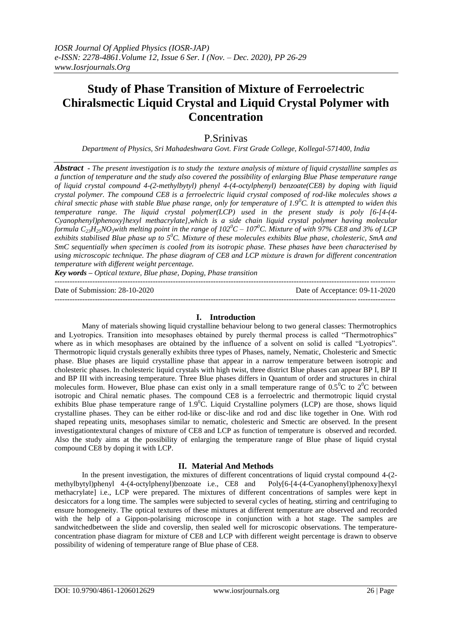# **Study of Phase Transition of Mixture of Ferroelectric Chiralsmectic Liquid Crystal and Liquid Crystal Polymer with Concentration**

## P.Srinivas

*Department of Physics, Sri Mahadeshwara Govt. First Grade College, Kollegal-571400, India*

*Abstract - The present investigation is to study the texture analysis of mixture of liquid crystalline samples as a function of temperature and the study also covered the possibility of enlarging Blue Phase temperature range of liquid crystal compound 4-(2-methylbytyl) phenyl 4-(4-octylphenyl) benzoate(CE8) by doping with liquid crystal polymer. The compound CE8 is a ferroelectric liquid crystal composed of rod-like molecules shows a chiral smectic phase with stable Blue phase range, only for temperature of 1.9<sup>0</sup>C. It is attempted to widen this temperature range. The liquid crystal polymer(LCP) used in the present study is poly [6-[4-(4- Cyanophenyl)phenoxy]hexyl methacrylate],which is a side chain liquid crystal polymer having molecular formula C*<sub>23</sub> $H_2$ <sub>5</sub>*NO*<sub>3</sub>*with melting point in the range of*  $102^0C - 107^0C$ *. Mixture of with 97% CE8 and 3% of LCP exhibits stabilised Blue phase up to 5<sup>0</sup>C. Mixture of these molecules exhibits Blue phase, cholesteric, SmA and SmC sequentially when specimen is cooled from its isotropic phase. These phases have been characterised by using microscopic technique. The phase diagram of CE8 and LCP mixture is drawn for different concentration temperature with different weight percentage.* 

*Key words – Optical texture, Blue phase, Doping, Phase transition* 

--------------------------------------------------------------------------------------------------------------------------------------- Date of Submission: 28-10-2020 Date of Acceptance: 09-11-2020

#### ---------------------------------------------------------------------------------------------------------------------------------------

#### **I. Introduction**

Many of materials showing liquid crystalline behaviour belong to two general classes: Thermotrophics and Lyotropics. Transition into mesophases obtained by purely thermal process is called "Thermotrophics" where as in which mesophases are obtained by the influence of a solvent on solid is called "Lyotropics". Thermotropic liquid crystals generally exhibits three types of Phases, namely, Nematic, Cholesteric and Smectic phase. Blue phases are liquid crystalline phase that appear in a narrow temperature between isotropic and cholesteric phases. In cholesteric liquid crystals with high twist, three district Blue phases can appear BP I, BP II and BP III with increasing temperature. Three Blue phases differs in Quantum of order and structures in chiral molecules form. However, Blue phase can exist only in a small temperature range of  $0.5^{\circ}$ C to  $2^{\circ}$ C between isotropic and Chiral nematic phases. The compound CE8 is a ferroelectric and thermotropic liquid crystal exhibits Blue phase temperature range of  $1.9^{\circ}$ C. Liquid Crystalline polymers (LCP) are those, shows liquid crystalline phases. They can be either rod-like or disc-like and rod and disc like together in One. With rod shaped repeating units, mesophases similar to nematic, cholesteric and Smectic are observed. In the present investigationtextural changes of mixture of CE8 and LCP as function of temperature is observed and recorded. Also the study aims at the possibility of enlarging the temperature range of Blue phase of liquid crystal compound CE8 by doping it with LCP.

#### **II. Material And Methods**

In the present investigation, the mixtures of different concentrations of liquid crystal compound 4-(2 methylbytyl)phenyl 4-(4-octylphenyl)benzoate i.e., CE8 and Poly[6-[4-(4-Cyanophenyl)phenoxy]hexyl methacrylate] i.e., LCP were prepared. The mixtures of different concentrations of samples were kept in desiccators for a long time. The samples were subjected to several cycles of heating, stirring and centrifuging to ensure homogeneity. The optical textures of these mixtures at different temperature are observed and recorded with the help of a Gippon-polarising microscope in conjunction with a hot stage. The samples are sandwitchedbetween the slide and coverslip, then sealed well for microscopic observations. The temperatureconcentration phase diagram for mixture of CE8 and LCP with different weight percentage is drawn to observe possibility of widening of temperature range of Blue phase of CE8.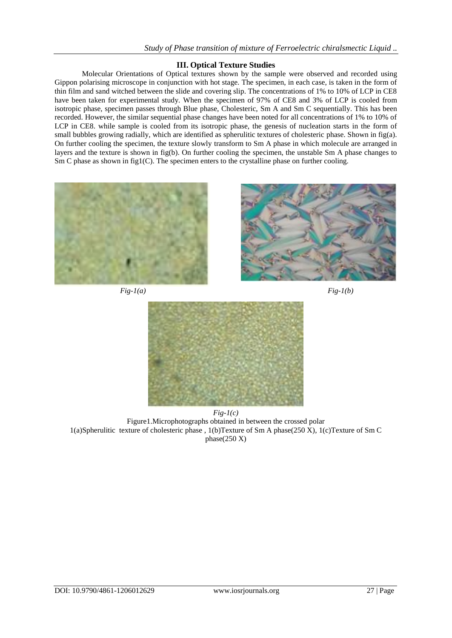## **III. Optical Texture Studies**

Molecular Orientations of Optical textures shown by the sample were observed and recorded using Gippon polarising microscope in conjunction with hot stage. The specimen, in each case, is taken in the form of thin film and sand witched between the slide and covering slip. The concentrations of 1% to 10% of LCP in CE8 have been taken for experimental study. When the specimen of 97% of CE8 and 3% of LCP is cooled from isotropic phase, specimen passes through Blue phase, Cholesteric, Sm A and Sm C sequentially. This has been recorded. However, the similar sequential phase changes have been noted for all concentrations of 1% to 10% of LCP in CE8. while sample is cooled from its isotropic phase, the genesis of nucleation starts in the form of small bubbles growing radially, which are identified as spherulitic textures of cholesteric phase. Shown in fig(a). On further cooling the specimen, the texture slowly transform to Sm A phase in which molecule are arranged in layers and the texture is shown in fig(b). On further cooling the specimen, the unstable Sm A phase changes to Sm C phase as shown in  $fig1(C)$ . The specimen enters to the crystalline phase on further cooling.



*Fig-1(a) Fig-1(b)*





*Fig-1(c)* Figure1.Microphotographs obtained in between the crossed polar 1(a)Spherulitic texture of cholesteric phase , 1(b)Texture of Sm A phase(250 X), 1(c)Texture of Sm C phase(250 X)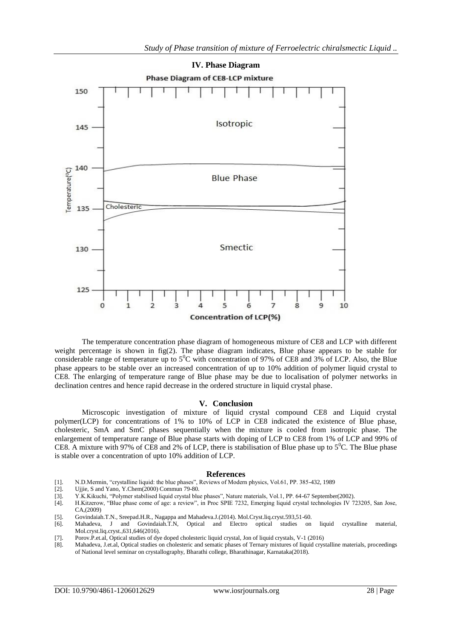

The temperature concentration phase diagram of homogeneous mixture of CE8 and LCP with different weight percentage is shown in  $fig(2)$ . The phase diagram indicates, Blue phase appears to be stable for considerable range of temperature up to  $5^{\circ}$ C with concentration of 97% of CE8 and 3% of LCP. Also, the Blue phase appears to be stable over an increased concentration of up to 10% addition of polymer liquid crystal to CE8. The enlarging of temperature range of Blue phase may be due to localisation of polymer networks in declination centres and hence rapid decrease in the ordered structure in liquid crystal phase.

#### **V. Conclusion**

Microscopic investigation of mixture of liquid crystal compound CE8 and Liquid crystal polymer(LCP) for concentrations of 1% to 10% of LCP in CE8 indicated the existence of Blue phase, cholesteric, SmA and SmC phases sequentially when the mixture is cooled from isotropic phase. The enlargement of temperature range of Blue phase starts with doping of LCP to CE8 from 1% of LCP and 99% of CE8. A mixture with 97% of CE8 and 2% of LCP, there is stabilisation of Blue phase up to  $5^{\circ}$ C. The Blue phase is stable over a concentration of upto 10% addition of LCP.

#### **References**

- [1]. N.D.Mermin, "crystalline liquid: the blue phases", Reviews of Modern physics, Vol.61, PP. 385-432, 1989
- [2]. Ujjie, S and Yano, Y.Chem(2000) Commun 79-80.<br>[3]. Y.K.Kikuchi, "Polymer stabilised liquid crystal blu
- [3]. Y.K.Kikuchi, "Polymer stabilised liquid crystal blue phases", Nature materials, Vol.1, PP. 64-67 September(2002).
- [4]. H.Kitzerow, "Blue phase come of age: a review", in Proc SPIE 7232, Emerging liquid crystal technologies IV 723205, San Jose, CA,(2009)
- [5]. Govindaiah.T.N., Sreepad.H.R., Nagappa and Mahadeva.J.(2014). Mol.Cryst.liq.cryst.593,51-60.
- [6]. Mahadeva, J and Govindaiah.T.N, Optical and Electro optical studies on liquid crystalline material, Mol.cryst.liq.cryst.,631,646(2016).
- [7]. Porov.P.et.al, Optical studies of dye doped cholesteric liquid crystal, Jon of liquid crystals, V-1 (2016)
- [8]. Mahadeva, J.et.al, Optical studies on cholesteric and sematic phases of Ternary mixtures of liquid crystalline materials, proceedings of National level seminar on crystallography, Bharathi college, Bharathinagar, Karnataka(2018).